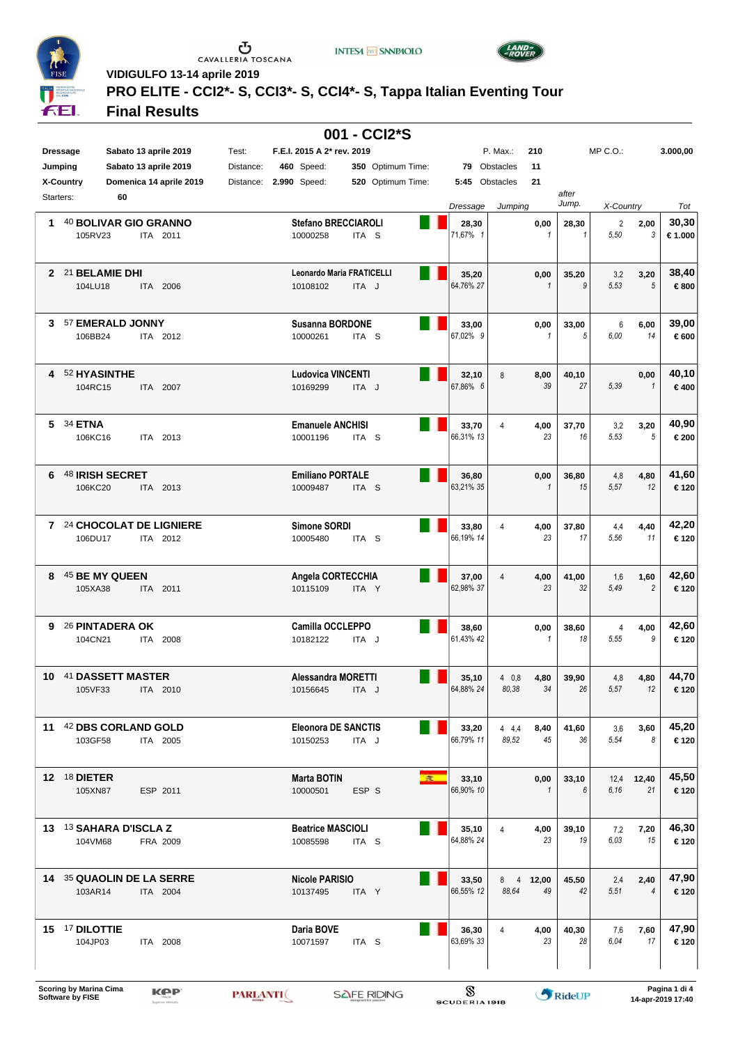

 $\begin{array}{c}\n\bullet \\
\bullet \\
\bullet \\
\bullet\n\end{array}$  CAVALLERIA TOSCANA

**INTESA M** SNNPAOLO



**VIDIGULFO 13-14 aprile 2019**

# **PRO ELITE - CCI2\*- S, CCI3\*- S, CCI4\*- S, Tappa Italian Eventing Tour**

#### **Final Results**

| 001 - CCI2*S |                                              |           |                                        |                  |                   |  |                   |                |                      |                |                        |                |                 |
|--------------|----------------------------------------------|-----------|----------------------------------------|------------------|-------------------|--|-------------------|----------------|----------------------|----------------|------------------------|----------------|-----------------|
|              | Sabato 13 aprile 2019<br><b>Dressage</b>     | Test:     | F.E.I. 2015 A 2* rev. 2019             |                  |                   |  |                   | P. Max.:       | 210                  |                | $MP C. O.$ :           |                | 3.000,00        |
|              | Sabato 13 aprile 2019<br>Jumping             | Distance: | <b>460</b> Speed:                      |                  | 350 Optimum Time: |  |                   | 79 Obstacles   | 11                   |                |                        |                |                 |
|              | X-Country<br>Domenica 14 aprile 2019         | Distance: | 2.990 Speed:                           |                  | 520 Optimum Time: |  |                   | 5:45 Obstacles | 21                   |                |                        |                |                 |
|              | 60<br>Starters:                              |           |                                        |                  |                   |  |                   |                |                      | after<br>Jump. |                        |                |                 |
|              |                                              |           |                                        |                  |                   |  | Dressage          | Jumping        |                      |                | X-Country              |                | Tot             |
| 1            | 40 BOLIVAR GIO GRANNO<br>105RV23<br>ITA 2011 |           | <b>Stefano BRECCIAROLI</b><br>10000258 | ITA <sub>S</sub> |                   |  | 28,30<br>71,67% 1 |                | 0,00<br>$\mathbf{1}$ | 28,30<br>1     | $\overline{2}$<br>5,50 | 2,00<br>3      | 30,30<br>€1.000 |
|              |                                              |           |                                        |                  |                   |  |                   |                |                      |                |                        |                |                 |
|              | 2 21 BELAMIE DHI                             |           | Leonardo Maria FRATICELLI              |                  |                   |  | 35,20             |                | 0,00                 | 35,20          | 3,2                    | 3,20           | 38,40           |
|              | 104LU18<br>ITA 2006                          |           | 10108102                               | ITA J            |                   |  | 64,76% 27         |                | $\mathbf{1}$         | 9              | 5.53                   | $\sqrt{5}$     | €800            |
|              |                                              |           |                                        |                  |                   |  |                   |                |                      |                |                        |                |                 |
|              | 3 57 EMERALD JONNY                           |           | <b>Susanna BORDONE</b>                 |                  |                   |  | 33,00             |                | 0,00                 | 33,00          | 6                      | 6,00           | 39,00           |
|              | 106BB24<br>ITA 2012                          |           | 10000261                               | ITA <sub>S</sub> |                   |  | 67.02% 9          |                | $\mathbf{1}$         | 5              | 6.00                   | 14             | €600            |
|              |                                              |           |                                        |                  |                   |  |                   |                |                      |                |                        |                |                 |
| 4            | 52 HYASINTHE                                 |           | <b>Ludovica VINCENTI</b>               |                  |                   |  | 32,10             | 8              | 8,00                 | 40,10          |                        | 0,00           | 40,10           |
|              | 104RC15<br>ITA 2007                          |           | 10169299                               | ITA J            |                   |  | 67,86% 6          |                | 39                   | 27             | 5,39                   | $\mathbf{1}$   | €400            |
|              |                                              |           |                                        |                  |                   |  |                   |                |                      |                |                        |                |                 |
| 5.           | 34 ETNA                                      |           | <b>Emanuele ANCHISI</b>                |                  |                   |  | 33,70             | 4              | 4,00                 | 37,70          | 3,2                    | 3,20           | 40,90           |
|              | 106KC16<br>ITA 2013                          |           | 10001196                               | ITA <sub>S</sub> |                   |  | 66,31% 13         |                | 23                   | 16             | 5,53                   | 5              | €200            |
|              |                                              |           |                                        |                  |                   |  |                   |                |                      |                |                        |                |                 |
| 6            | 48 IRISH SECRET                              |           | <b>Emiliano PORTALE</b>                |                  |                   |  | 36,80             |                | 0,00                 | 36,80          | 4,8                    | 4,80           | 41,60           |
|              | 106KC20<br>ITA 2013                          |           | 10009487                               | ITA <sub>S</sub> |                   |  | 63,21% 35         |                | $\mathbf{1}$         | 15             | 5.57                   | 12             | €120            |
|              |                                              |           |                                        |                  |                   |  |                   |                |                      |                |                        |                |                 |
|              | 7 24 CHOCOLAT DE LIGNIERE                    |           | Simone SORDI                           |                  |                   |  | 33,80             | 4              | 4,00                 | 37,80          | 4,4                    | 4,40           | 42,20           |
|              | 106DU17<br>ITA 2012                          |           | 10005480                               | ITA S            |                   |  | 66,19% 14         |                | 23                   | 17             | 5,56                   | 11             | €120            |
|              |                                              |           |                                        |                  |                   |  |                   |                |                      |                |                        |                |                 |
| 8            | 45 BE MY QUEEN                               |           | Angela CORTECCHIA                      |                  |                   |  | 37,00             | 4              | 4,00                 | 41,00          | 1,6                    | 1,60           | 42,60           |
|              | 105XA38<br>ITA 2011                          |           | 10115109                               | ITA Y            |                   |  | 62,98% 37         |                | 23                   | 32             | 5.49                   | $\overline{c}$ | €120            |
|              |                                              |           |                                        |                  |                   |  |                   |                |                      |                |                        |                |                 |
|              | 9 26 PINTADERA OK                            |           | <b>Camilla OCCLEPPO</b>                |                  |                   |  | 38,60             |                | 0,00                 | 38,60          | 4                      | 4,00           | 42,60           |
|              | 104CN21<br>ITA 2008                          |           | 10182122                               | ITA J            |                   |  | 61,43% 42         |                | $\mathbf{1}$         | 18             | 5,55                   | 9              | €120            |
|              |                                              |           |                                        |                  |                   |  |                   |                |                      |                |                        |                |                 |
|              | 10 41 DASSETT MASTER                         |           | Alessandra MORETTI                     |                  |                   |  | 35,10             | 40.8           | 4,80                 | 39.90          | 4,8                    | 4,80           | 44,70           |
|              | 105VF33<br>ITA 2010                          |           | 10156645                               | ITA J            |                   |  | 64,88% 24         | 80,38          | 34                   | 26             | 5.57                   | 12             | €120            |
|              |                                              |           |                                        |                  |                   |  |                   |                |                      |                |                        |                |                 |
|              | 11 42 DBS CORLAND GOLD                       |           | <b>Eleonora DE SANCTIS</b>             |                  |                   |  | 33,20             | 44,4           | 8,40                 | 41,60          | 3,6                    | 3,60           | 45,20           |
|              | 103GF58<br>ITA 2005                          |           | 10150253                               | ITA J            |                   |  | 66,79% 11         | 89,52          | 45                   | 36             | 5,54                   | 8              | €120            |
|              |                                              |           |                                        |                  |                   |  |                   |                |                      |                |                        |                |                 |
|              | 12 18 DIETER                                 |           | <b>Marta BOTIN</b>                     |                  |                   |  | 33,10             |                | 0,00                 | 33,10          |                        | 12,4 12,40     | 45,50           |
|              | 105XN87<br>ESP 2011                          |           | 10000501                               | ESP S            |                   |  | 66,90% 10         |                | $\mathbf{1}$         | 6              | 6.16                   | 21             | €120            |
|              |                                              |           |                                        |                  |                   |  |                   |                |                      |                |                        |                |                 |
|              | 13 13 SAHARA D'ISCLA Z                       |           | <b>Beatrice MASCIOLI</b>               |                  |                   |  | 35,10             | 4              | 4,00                 | 39,10          | 7,2                    | 7,20           | 46,30           |
|              | FRA 2009<br>104VM68                          |           | 10085598                               | ITA <sub>S</sub> |                   |  | 64,88% 24         |                | 23                   | 19             | 6.03                   | 15             | €120            |
|              |                                              |           |                                        |                  |                   |  |                   |                |                      |                |                        |                |                 |
|              | 14 35 QUAOLIN DE LA SERRE                    |           | <b>Nicole PARISIO</b>                  |                  |                   |  | 33,50             |                | 8 4 12,00            | 45,50          | 2,4                    | 2,40           | 47,90           |
|              | 103AR14<br>ITA 2004                          |           | 10137495                               | ITA Y            |                   |  | 66,55% 12         | 88.64          | 49                   | 42             | 5.51                   | 4              | €120            |
|              |                                              |           |                                        |                  |                   |  |                   |                |                      |                |                        |                |                 |
|              | 15 17 DILOTTIE                               |           | Daria BOVE                             |                  |                   |  | 36,30             | 4              | 4,00                 | 40,30          | 7.6                    | 7,60           | 47,90           |
|              | 104JP03<br>ITA 2008                          |           | 10071597                               | ITA <sub>S</sub> |                   |  | 63,69% 33         |                | 23                   | 28             | 6.04                   | 17             | €120            |
|              |                                              |           |                                        |                  |                   |  |                   |                |                      |                |                        |                |                 |
|              |                                              |           |                                        |                  |                   |  |                   |                |                      |                |                        |                |                 |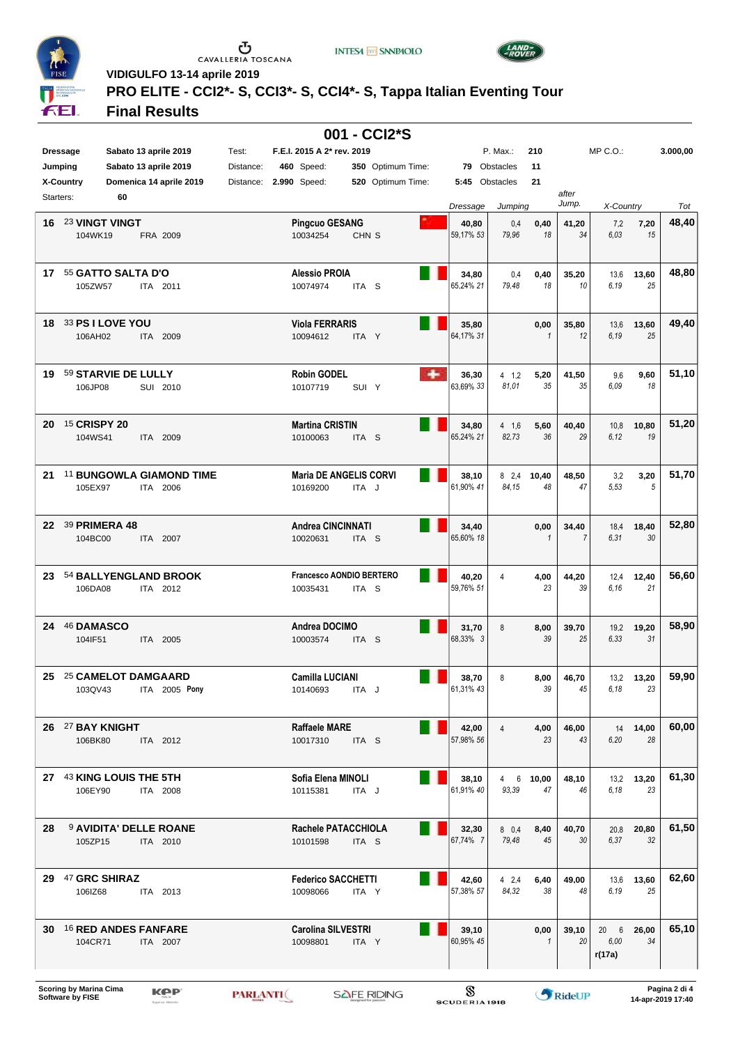

 $\begin{array}{c}\n\bullet \\
\bullet \\
\bullet \\
\bullet\n\end{array}$  CAVALLERIA TOSCANA

**INTESA M** SNNPAOLO



**VIDIGULFO 13-14 aprile 2019**

# **PRO ELITE - CCI2\*- S, CCI3\*- S, CCI4\*- S, Tappa Italian Eventing Tour**

### **Final Results**

|                 |                             |                               |                          |           |                                       |                  | 001 - CCI2*S      |   |                    |                |              |             |              |                  |          |
|-----------------|-----------------------------|-------------------------------|--------------------------|-----------|---------------------------------------|------------------|-------------------|---|--------------------|----------------|--------------|-------------|--------------|------------------|----------|
| <b>Dressage</b> |                             | Sabato 13 aprile 2019         |                          | Test:     | F.E.I. 2015 A 2* rev. 2019            |                  |                   |   |                    | P. Max.:       | 210          |             | $MP C. O.$ : |                  | 3.000,00 |
| Jumping         |                             | Sabato 13 aprile 2019         |                          | Distance: | <b>460</b> Speed:                     |                  | 350 Optimum Time: |   |                    | 79 Obstacles   | 11           |             |              |                  |          |
|                 | <b>X-Country</b>            | Domenica 14 aprile 2019       |                          | Distance: | 2.990 Speed:                          |                  | 520 Optimum Time: |   |                    | 5:45 Obstacles | 21           |             |              |                  |          |
| Starters:       |                             | 60                            |                          |           |                                       |                  |                   |   |                    |                |              | after       |              |                  |          |
|                 |                             |                               |                          |           |                                       |                  |                   |   | Dressage           | Jumping        |              | Jump.       | X-Country    |                  | Tot      |
| 16              |                             | 23 VINGT VINGT                |                          |           | <b>Pingcuo GESANG</b>                 |                  |                   |   | 40,80              | 0,4            | 0,40         | 41,20       | 7.2          | 7,20             | 48,40    |
|                 | 104WK19                     |                               | FRA 2009                 |           | 10034254                              | CHN <sub>S</sub> |                   |   | 59,17% 53          | 79,96          | 18           | 34          | 6.03         | 15               |          |
|                 |                             |                               |                          |           |                                       |                  |                   |   |                    |                |              |             |              |                  |          |
|                 |                             |                               |                          |           |                                       |                  |                   |   |                    |                |              |             |              |                  |          |
|                 |                             | 17 55 GATTO SALTA D'O         |                          |           | <b>Alessio PROIA</b>                  |                  |                   |   | 34,80              | 0,4            | 0,40         | 35,20       | 13,6         | 13,60            | 48,80    |
|                 | 105ZW57                     |                               | ITA 2011                 |           | 10074974                              | ITA <sub>S</sub> |                   |   | 65,24% 21          | 79,48          | 18           | 10          | 6.19         | 25               |          |
|                 |                             |                               |                          |           |                                       |                  |                   |   |                    |                |              |             |              |                  |          |
| 18              |                             | <b>33 PS I LOVE YOU</b>       |                          |           | <b>Viola FERRARIS</b>                 |                  |                   |   | 35,80              |                | 0,00         | 35,80       | 13,6         | 13,60            | 49,40    |
|                 | 106AH02                     |                               | ITA 2009                 |           | 10094612                              | ITA Y            |                   |   | 64,17% 31          |                | $\mathbf{1}$ | 12          | 6.19         | 25               |          |
|                 |                             |                               |                          |           |                                       |                  |                   |   |                    |                |              |             |              |                  |          |
|                 |                             |                               |                          |           |                                       |                  |                   |   |                    |                |              |             |              |                  |          |
| 19              |                             | 59 STARVIE DE LULLY           |                          |           | <b>Robin GODEL</b>                    |                  |                   | ٠ | 36,30              | $4 \t1.2$      | 5,20         | 41,50       | 9,6          | 9,60             | 51,10    |
|                 | 106JP08                     |                               | SUI 2010                 |           | 10107719                              | SUI Y            |                   |   | 63.69% 33          | 81,01          | 35           | 35          | 6.09         | 18               |          |
|                 |                             |                               |                          |           |                                       |                  |                   |   |                    |                |              |             |              |                  |          |
|                 |                             |                               |                          |           |                                       |                  |                   |   |                    |                |              |             |              |                  |          |
| 20              | <sup>15</sup> CRISPY 20     |                               |                          |           | <b>Martina CRISTIN</b>                |                  |                   |   | 34,80              | 4 1.6          | 5,60<br>36   | 40,40<br>29 | 10,8<br>6.12 | 10,80            | 51,20    |
|                 | 104WS41                     |                               | ITA 2009                 |           | 10100063                              | ITA <sub>S</sub> |                   |   | 65,24% 21          | 82,73          |              |             |              | 19               |          |
|                 |                             |                               |                          |           |                                       |                  |                   |   |                    |                |              |             |              |                  |          |
| 21              |                             |                               | 11 BUNGOWLA GIAMOND TIME |           | <b>Maria DE ANGELIS CORVI</b>         |                  |                   |   | 38,10              | $8^{2,4}$      | 10,40        | 48,50       | 3,2          | 3,20             | 51,70    |
|                 | 105EX97                     |                               | ITA 2006                 |           | 10169200                              | ITA J            |                   |   | 61,90% 41          | 84,15          | 48           | 47          | 5,53         | 5                |          |
|                 |                             |                               |                          |           |                                       |                  |                   |   |                    |                |              |             |              |                  |          |
|                 |                             |                               |                          |           |                                       |                  |                   |   |                    |                |              |             |              |                  |          |
|                 | 22 39 PRIMERA 48            |                               |                          |           | <b>Andrea CINCINNATI</b>              |                  |                   |   | 34,40              |                | 0,00         | 34,40       | 18,4         | 18,40            | 52,80    |
|                 | 104BC00                     |                               | ITA 2007                 |           | 10020631                              | ITA S            |                   |   | 65,60% 18          |                | $\mathbf{1}$ | 7           | 6,31         | 30               |          |
|                 |                             |                               |                          |           |                                       |                  |                   |   |                    |                |              |             |              |                  |          |
| 23              |                             | 54 BALLYENGLAND BROOK         |                          |           | Francesco AONDIO BERTERO              |                  |                   |   | 40,20              | 4              | 4,00         | 44,20       | 12,4         | 12,40            | 56,60    |
|                 | 106DA08                     |                               | ITA 2012                 |           | 10035431                              | ITA S            |                   |   | 59,76% 51          |                | 23           | 39          | 6.16         | 21               |          |
|                 |                             |                               |                          |           |                                       |                  |                   |   |                    |                |              |             |              |                  |          |
|                 |                             |                               |                          |           |                                       |                  |                   |   |                    |                |              |             |              |                  |          |
|                 | 24 46 DAMASCO               |                               |                          |           | Andrea DOCIMO                         |                  |                   |   | 31,70              | 8              | 8,00         | 39,70       | 19,2         | 19,20            | 58,90    |
|                 | 104IF51                     |                               | ITA 2005                 |           | 10003574                              | ITA <sub>S</sub> |                   |   | 68,33% 3           |                | 39           | 25          | 6.33         | 31               |          |
|                 |                             |                               |                          |           |                                       |                  |                   |   |                    |                |              |             |              |                  |          |
| 25              |                             | 25 CAMELOT DAMGAARD           |                          |           | <b>Camilla LUCIANI</b>                |                  |                   |   | 38,70              | 8              | 8,00         | 46,70       |              | 13,2 13,20       | 59,90    |
|                 | 103QV43                     |                               | ITA 2005 Pony            |           | 10140693                              | ITA J            |                   |   | 61,31% 43          |                | 39           | 45          | 6.18         | 23               |          |
|                 |                             |                               |                          |           |                                       |                  |                   |   |                    |                |              |             |              |                  |          |
|                 |                             |                               |                          |           |                                       |                  |                   |   |                    |                |              |             |              |                  |          |
|                 | 26 27 BAY KNIGHT            |                               |                          |           | <b>Raffaele MARE</b>                  |                  |                   |   | 42,00              | 4              | 4,00         | 46,00       | 14           | 14,00            | 60,00    |
|                 | 106BK80                     |                               | ITA 2012                 |           | 10017310                              | ITA S            |                   |   | 57,98% 56          |                | 23           | 43          | 6.20         | 28               |          |
|                 |                             |                               |                          |           |                                       |                  |                   |   |                    |                |              |             |              |                  |          |
|                 |                             | 27 43 KING LOUIS THE 5TH      |                          |           | Sofia Elena MINOLI                    |                  |                   |   |                    |                |              |             |              |                  | 61,30    |
|                 | 106EY90                     |                               | ITA 2008                 |           | 10115381                              | ITA J            |                   |   | 38,10<br>61,91% 40 | 4 6<br>93,39   | 10,00<br>47  | 48,10<br>46 | 6.18         | 13,2 13,20<br>23 |          |
|                 |                             |                               |                          |           |                                       |                  |                   |   |                    |                |              |             |              |                  |          |
|                 |                             |                               |                          |           |                                       |                  |                   |   |                    |                |              |             |              |                  |          |
| 28.             |                             | <b>9 AVIDITA' DELLE ROANE</b> |                          |           | Rachele PATACCHIOLA                   |                  |                   |   | 32,30              | 80,4           | 8,40         | 40,70       | 20,8         | 20,80            | 61,50    |
|                 | 105ZP15                     |                               | ITA 2010                 |           | 10101598                              | ITA <sub>S</sub> |                   |   | 67,74% 7           | 79,48          | 45           | 30          | 6,37         | 32               |          |
|                 |                             |                               |                          |           |                                       |                  |                   |   |                    |                |              |             |              |                  |          |
|                 |                             |                               |                          |           |                                       |                  |                   |   |                    |                |              |             |              |                  |          |
|                 | 29 47 GRC SHIRAZ<br>106IZ68 |                               | ITA 2013                 |           | <b>Federico SACCHETTI</b><br>10098066 | ITA Y            |                   |   | 42,60<br>57,38% 57 | 42.4<br>84.32  | 6,40<br>38   | 49,00<br>48 | 6.19         | 13,6 13,60<br>25 | 62,60    |
|                 |                             |                               |                          |           |                                       |                  |                   |   |                    |                |              |             |              |                  |          |
|                 |                             |                               |                          |           |                                       |                  |                   |   |                    |                |              |             |              |                  |          |
|                 |                             | 30 16 RED ANDES FANFARE       |                          |           | <b>Carolina SILVESTRI</b>             |                  |                   |   | 39,10              |                | 0,00         | 39,10       | 20 6         | 26,00            | 65,10    |
|                 | 104CR71                     |                               | ITA 2007                 |           | 10098801                              | ITA Y            |                   |   | 60,95% 45          |                | $\mathbf{1}$ | 20          | 6.00         | 34               |          |
|                 |                             |                               |                          |           |                                       |                  |                   |   |                    |                |              |             | r(17a)       |                  |          |
|                 |                             |                               |                          |           |                                       |                  |                   |   |                    |                |              |             |              |                  |          |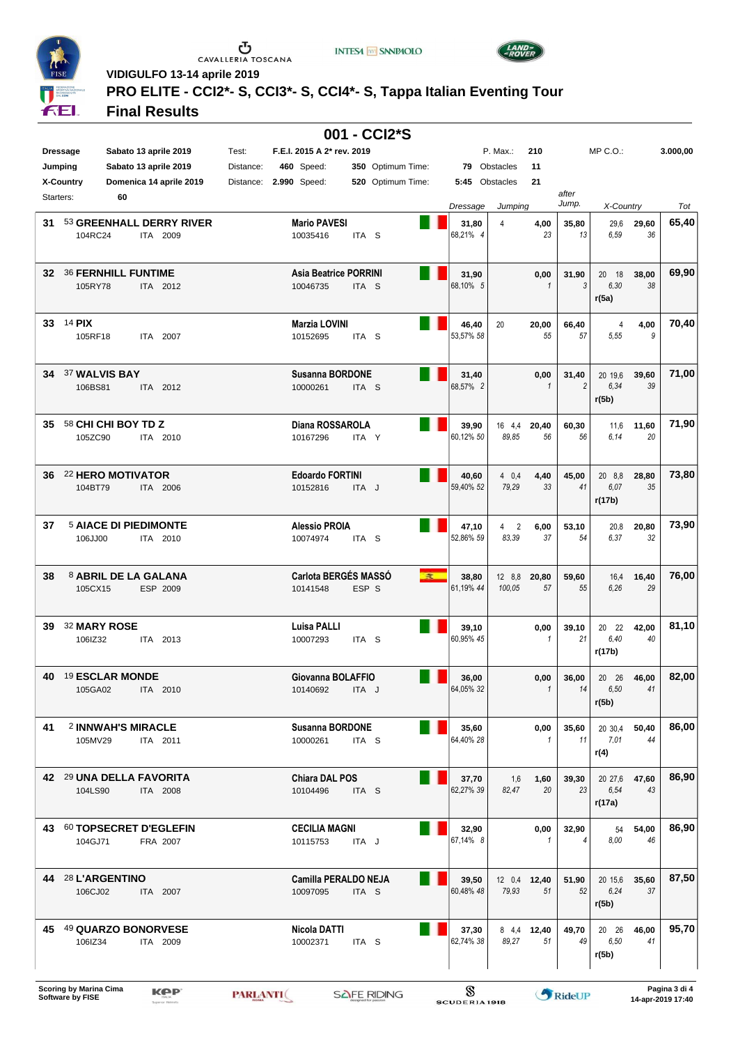

 $\begin{array}{c}\n\bullet \\
\bullet \\
\bullet \\
\bullet\n\end{array}$  CAVALLERIA TOSCANA

**INTESA M** SNNPAOLO



**VIDIGULFO 13-14 aprile 2019**

### **PRO ELITE - CCI2\*- S, CCI3\*- S, CCI4\*- S, Tappa Italian Eventing Tour**

### **Final Results**

| 001 - CCI2*S    |                                             |           |                              |                  |                   |  |                    |                |                      |                |                |             |          |
|-----------------|---------------------------------------------|-----------|------------------------------|------------------|-------------------|--|--------------------|----------------|----------------------|----------------|----------------|-------------|----------|
| <b>Dressage</b> | Sabato 13 aprile 2019                       | Test:     | F.E.I. 2015 A 2* rev. 2019   |                  |                   |  |                    | P. Max.:       | 210                  |                | $MP C. O.$ :   |             | 3.000,00 |
| Jumping         | Sabato 13 aprile 2019                       | Distance: | <b>460</b> Speed:            |                  | 350 Optimum Time: |  |                    | 79 Obstacles   | 11                   |                |                |             |          |
|                 |                                             |           |                              |                  |                   |  |                    |                |                      |                |                |             |          |
|                 | Domenica 14 aprile 2019<br><b>X-Country</b> |           | Distance: 2.990 Speed:       |                  | 520 Optimum Time: |  | 5:45 Obstacles     |                | 21                   | after          |                |             |          |
| Starters:       | 60                                          |           |                              |                  |                   |  | Dressage           | Jumping        |                      | Jump.          | X-Country      |             | Tot      |
|                 |                                             |           |                              |                  |                   |  |                    |                |                      |                |                |             |          |
| 31              | 53 GREENHALL DERRY RIVER                    |           | <b>Mario PAVESI</b>          |                  |                   |  | 31,80              | 4              | 4,00                 | 35,80          | 29,6           | 29,60       | 65,40    |
|                 | 104RC24<br>ITA 2009                         |           | 10035416                     | ITA <sub>S</sub> |                   |  | 68,21% 4           |                | 23                   | 13             | 6,59           | 36          |          |
|                 |                                             |           |                              |                  |                   |  |                    |                |                      |                |                |             |          |
| 32              | <b>36 FERNHILL FUNTIME</b>                  |           | <b>Asia Beatrice PORRINI</b> |                  |                   |  | 31,90              |                | 0,00                 | 31,90          | 20 18          | 38,00       | 69,90    |
|                 | 105RY78<br>ITA 2012                         |           | 10046735                     | ITA <sub>S</sub> |                   |  | 68.10% 5           |                | $\mathbf{1}$         | 3              | 6,30           | 38          |          |
|                 |                                             |           |                              |                  |                   |  |                    |                |                      |                | r(5a)          |             |          |
|                 |                                             |           |                              |                  |                   |  |                    |                |                      |                |                |             |          |
|                 | 33 $14$ PIX                                 |           | Marzia LOVINI                |                  |                   |  | 46,40              | 20             | 20,00                | 66,40          | 4              | 4,00        | 70,40    |
|                 | 105RF18<br>ITA 2007                         |           | 10152695                     | ITA S            |                   |  | 53,57% 58          |                | 55                   | 57             | 5,55           | 9           |          |
|                 |                                             |           |                              |                  |                   |  |                    |                |                      |                |                |             |          |
|                 |                                             |           |                              |                  |                   |  |                    |                |                      |                |                |             |          |
| 34              | 37 WALVIS BAY                               |           | <b>Susanna BORDONE</b>       |                  |                   |  | 31,40              |                | 0,00                 | 31,40          | 20 19,6        | 39,60       | 71,00    |
|                 | 106BS81<br>ITA 2012                         |           | 10000261                     | ITA <sub>S</sub> |                   |  | 68,57% 2           |                | $\mathbf{1}$         | $\overline{2}$ | 6,34           | 39          |          |
|                 |                                             |           |                              |                  |                   |  |                    |                |                      |                | r(5b)          |             |          |
|                 |                                             |           |                              |                  |                   |  |                    |                |                      |                |                |             |          |
| 35              | 58 CHI CHI BOY TD Z                         |           | Diana ROSSAROLA              |                  |                   |  | 39,90              | 16 4.4         | 20,40                | 60,30          | 11,6           | 11,60       | 71,90    |
|                 | 105ZC90<br>ITA 2010                         |           | 10167296                     | ITA Y            |                   |  | 60,12% 50          | 89,85          | 56                   | 56             | 6.14           | 20          |          |
|                 |                                             |           |                              |                  |                   |  |                    |                |                      |                |                |             |          |
|                 | 22 HERO MOTIVATOR                           |           | <b>Edoardo FORTINI</b>       |                  |                   |  |                    |                |                      |                |                |             | 73,80    |
| 36              | 104BT79<br>ITA 2006                         |           | 10152816                     | ITA J            |                   |  | 40,60<br>59,40% 52 | 4 0.4<br>79.29 | 4,40<br>33           | 45,00<br>41    | 20 8.8<br>6.07 | 28,80<br>35 |          |
|                 |                                             |           |                              |                  |                   |  |                    |                |                      |                | r(17b)         |             |          |
|                 |                                             |           |                              |                  |                   |  |                    |                |                      |                |                |             |          |
| 37              | <b>5 AIACE DI PIEDIMONTE</b>                |           | <b>Alessio PROIA</b>         |                  |                   |  | 47,10              | 4 <sup>2</sup> | 6,00                 | 53,10          | 20,8           | 20,80       | 73,90    |
|                 | 106JJ00<br>ITA 2010                         |           | 10074974                     | ITA <sub>S</sub> |                   |  | 52,86% 59          | 83,39          | 37                   | 54             | 6,37           | 32          |          |
|                 |                                             |           |                              |                  |                   |  |                    |                |                      |                |                |             |          |
|                 |                                             |           |                              |                  |                   |  |                    |                |                      |                |                |             |          |
| 38              | 8 ABRIL DE LA GALANA                        |           | Carlota BERGÉS MASSÓ         |                  | 度                 |  | 38,80              | 12 8.8         | 20,80                | 59,60          | 16,4           | 16,40       | 76,00    |
|                 | 105CX15<br>ESP 2009                         |           | 10141548                     | ESP S            |                   |  | 61,19% 44          | 100,05         | 57                   | 55             | 6.26           | 29          |          |
|                 |                                             |           |                              |                  |                   |  |                    |                |                      |                |                |             |          |
|                 |                                             |           |                              |                  |                   |  |                    |                |                      |                |                |             |          |
| 39              | 32 MARY ROSE                                |           | Luisa PALLI                  |                  |                   |  | 39,10              |                | 0,00                 | 39,10          | 20 22          | 42,00       | 81,10    |
|                 | 106IZ32<br>ITA 2013                         |           | 10007293                     | ITA <sub>S</sub> |                   |  | 60,95% 45          |                | $\mathbf{1}$         | 21             | 6,40           | 40          |          |
|                 |                                             |           |                              |                  |                   |  |                    |                |                      |                | r(17b)         |             |          |
| 40              | 19 ESCLAR MONDE                             |           | Giovanna BOLAFFIO            |                  |                   |  |                    |                |                      |                | 20 26          |             | 82,00    |
|                 | 105GA02<br>ITA 2010                         |           | 10140692                     | ITA J            |                   |  | 36,00<br>64.05% 32 |                | 0,00<br>$\mathbf{1}$ | 36,00<br>14    | 6.50           | 46,00<br>41 |          |
|                 |                                             |           |                              |                  |                   |  |                    |                |                      |                | r(5b)          |             |          |
|                 |                                             |           |                              |                  |                   |  |                    |                |                      |                |                |             |          |
| 41              | 2 INNWAH'S MIRACLE                          |           | <b>Susanna BORDONE</b>       |                  |                   |  | 35,60              |                | 0,00                 | 35,60          | 20 30,4        | 50,40       | 86,00    |
|                 | 105MV29<br>ITA 2011                         |           | 10000261                     | ITA <sub>S</sub> |                   |  | 64,40% 28          |                | 1                    | 11             | 7,01           | 44          |          |
|                 |                                             |           |                              |                  |                   |  |                    |                |                      |                | r(4)           |             |          |
|                 |                                             |           |                              |                  |                   |  |                    |                |                      |                |                |             |          |
|                 | 42 <sup>29</sup> UNA DELLA FAVORITA         |           | <b>Chiara DAL POS</b>        |                  |                   |  | 37,70              | 1,6            | 1,60                 | 39,30          | 20 27,6        | 47,60       | 86,90    |
|                 | 104LS90<br>ITA 2008                         |           | 10104496                     | ITA S            |                   |  | 62,27% 39          | 82,47          | 20                   | 23             | 6.54           | 43          |          |
|                 |                                             |           |                              |                  |                   |  |                    |                |                      |                | r(17a)         |             |          |
|                 |                                             |           |                              |                  |                   |  |                    |                |                      |                |                |             |          |
|                 | 43 60 TOPSECRET D'EGLEFIN                   |           | <b>CECILIA MAGNI</b>         |                  |                   |  | 32,90              |                | 0,00                 | 32,90          | 54             | 54,00       | 86,90    |
|                 | 104GJ71<br>FRA 2007                         |           | 10115753                     | ITA J            |                   |  | 67,14% 8           |                | $\mathbf{1}$         | $\overline{4}$ | 8.00           | 46          |          |
|                 |                                             |           |                              |                  |                   |  |                    |                |                      |                |                |             |          |
|                 | 44 28 L'ARGENTINO                           |           | Camilla PERALDO NEJA         |                  |                   |  | 39,50              |                | 12 0.4 12,40         | 51,90          | 20 15,6        | 35,60       | 87,50    |
|                 | 106CJ02<br>ITA 2007                         |           | 10097095                     | ITA <sub>S</sub> |                   |  | 60,48% 48          | 79,93          | 51                   | 52             | 6.24           | 37          |          |
|                 |                                             |           |                              |                  |                   |  |                    |                |                      |                | r(5b)          |             |          |
|                 |                                             |           |                              |                  |                   |  |                    |                |                      |                |                |             |          |
|                 | 45 49 QUARZO BONORVESE                      |           | Nicola DATTI                 |                  |                   |  | 37,30              |                | 8 4.4 12,40          | 49,70          | 20 26          | 46,00       | 95,70    |
|                 | 106IZ34<br>ITA 2009                         |           | 10002371                     | ITA <sub>S</sub> |                   |  | 62,74% 38          | 89,27          | 51                   | 49             | 6,50           | 41          |          |
|                 |                                             |           |                              |                  |                   |  |                    |                |                      |                | r(5b)          |             |          |
|                 |                                             |           |                              |                  |                   |  |                    |                |                      |                |                |             |          |
|                 |                                             |           |                              |                  |                   |  |                    |                |                      |                |                |             |          |